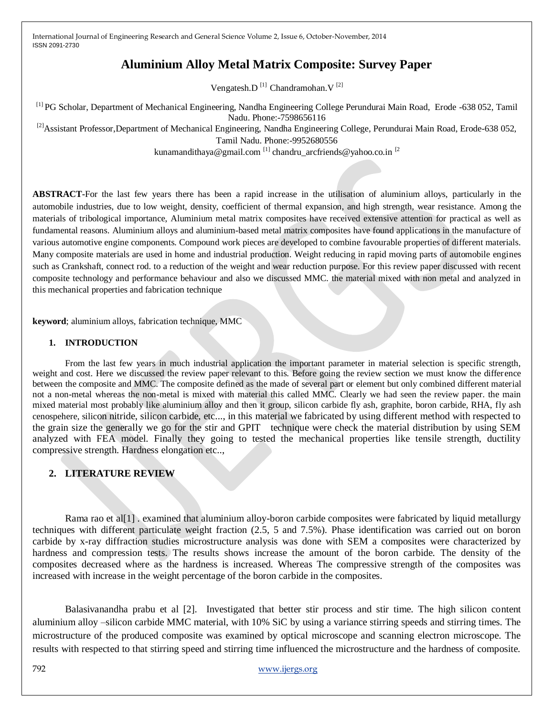# **Aluminium Alloy Metal Matrix Composite: Survey Paper**

Vengatesh.D $^{[1]}$  Chandramohan.V $^{[2]}$ 

[1] PG Scholar, Department of Mechanical Engineering, Nandha Engineering College Perundurai Main Road, Erode -638 052, Tamil Nadu. Phone:-7598656116

<sup>[2]</sup>Assistant Professor,Department of Mechanical Engineering, Nandha Engineering College, Perundurai Main Road, Erode-638 052,

Tamil Nadu. Phone:-9952680556

kunamandithaya@gmail.com [1] chandru\_arcfriends@yahoo.co.in [2]

**ABSTRACT-**For the last few years there has been a rapid increase in the utilisation of aluminium alloys, particularly in the automobile industries, due to low weight, density, coefficient of thermal expansion, and high strength, wear resistance. Among the materials of tribological importance, Aluminium metal matrix composites have received extensive attention for practical as well as fundamental reasons. Aluminium alloys and aluminium-based metal matrix composites have found applications in the manufacture of various automotive engine components. Compound work pieces are developed to combine favourable properties of different materials. Many composite materials are used in home and industrial production. Weight reducing in rapid moving parts of automobile engines such as Crankshaft, connect rod. to a reduction of the weight and wear reduction purpose. For this review paper discussed with recent composite technology and performance behaviour and also we discussed MMC. the material mixed with non metal and analyzed in this mechanical properties and fabrication technique

**keyword**; aluminium alloys, fabrication technique, MMC

#### **1. INTRODUCTION**

From the last few years in much industrial application the important parameter in material selection is specific strength, weight and cost. Here we discussed the review paper relevant to this. Before going the review section we must know the difference between the composite and MMC. The composite defined as the made of several part or element but only combined different material not a non-metal whereas the non-metal is mixed with material this called MMC. Clearly we had seen the review paper. the main mixed material most probably like aluminium alloy and then it group, silicon carbide fly ash, graphite, boron carbide, RHA, fly ash cenospehere, silicon nitride, silicon carbide, etc..., in this material we fabricated by using different method with respected to the grain size the generally we go for the stir and GPIT technique were check the material distribution by using SEM analyzed with FEA model. Finally they going to tested the mechanical properties like tensile strength, ductility compressive strength. Hardness elongation etc..,

## **2. LITERATURE REVIEW**

Rama rao et al[1] . examined that aluminium alloy-boron carbide composites were fabricated by liquid metallurgy techniques with different particulate weight fraction (2.5, 5 and 7.5%). Phase identification was carried out on boron carbide by x-ray diffraction studies microstructure analysis was done with SEM a composites were characterized by hardness and compression tests. The results shows increase the amount of the boron carbide. The density of the composites decreased where as the hardness is increased. Whereas The compressive strength of the composites was increased with increase in the weight percentage of the boron carbide in the composites.

Balasivanandha prabu et al [2]. Investigated that better stir process and stir time. The high silicon content aluminium alloy –silicon carbide MMC material, with 10% SiC by using a variance stirring speeds and stirring times. The microstructure of the produced composite was examined by optical microscope and scanning electron microscope. The results with respected to that stirring speed and stirring time influenced the microstructure and the hardness of composite.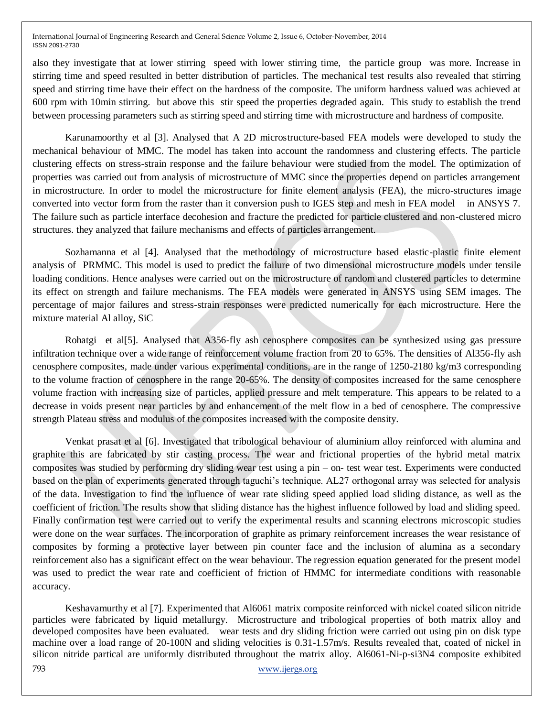also they investigate that at lower stirring speed with lower stirring time, the particle group was more. Increase in stirring time and speed resulted in better distribution of particles. The mechanical test results also revealed that stirring speed and stirring time have their effect on the hardness of the composite. The uniform hardness valued was achieved at 600 rpm with 10min stirring. but above this stir speed the properties degraded again. This study to establish the trend between processing parameters such as stirring speed and stirring time with microstructure and hardness of composite.

Karunamoorthy et al [3]. Analysed that A 2D microstructure-based FEA models were developed to study the mechanical behaviour of MMC. The model has taken into account the randomness and clustering effects. The particle clustering effects on stress-strain response and the failure behaviour were studied from the model. The optimization of properties was carried out from analysis of microstructure of MMC since the properties depend on particles arrangement in microstructure. In order to model the microstructure for finite element analysis (FEA), the micro-structures image converted into vector form from the raster than it conversion push to IGES step and mesh in FEA model in ANSYS 7. The failure such as particle interface decohesion and fracture the predicted for particle clustered and non-clustered micro structures. they analyzed that failure mechanisms and effects of particles arrangement.

Sozhamanna et al [4]. Analysed that the methodology of microstructure based elastic-plastic finite element analysis of PRMMC. This model is used to predict the failure of two dimensional microstructure models under tensile loading conditions. Hence analyses were carried out on the microstructure of random and clustered particles to determine its effect on strength and failure mechanisms. The FEA models were generated in ANSYS using SEM images. The percentage of major failures and stress-strain responses were predicted numerically for each microstructure. Here the mixture material Al alloy, SiC

Rohatgi et al[5]. Analysed that A356-fly ash cenosphere composites can be synthesized using gas pressure infiltration technique over a wide range of reinforcement volume fraction from 20 to 65%. The densities of Al356-fly ash cenosphere composites, made under various experimental conditions, are in the range of 1250-2180 kg/m3 corresponding to the volume fraction of cenosphere in the range 20-65%. The density of composites increased for the same cenosphere volume fraction with increasing size of particles, applied pressure and melt temperature. This appears to be related to a decrease in voids present near particles by and enhancement of the melt flow in a bed of cenosphere. The compressive strength Plateau stress and modulus of the composites increased with the composite density.

Venkat prasat et al [6]. Investigated that tribological behaviour of aluminium alloy reinforced with alumina and graphite this are fabricated by stir casting process. The wear and frictional properties of the hybrid metal matrix composites was studied by performing dry sliding wear test using a pin – on- test wear test. Experiments were conducted based on the plan of experiments generated through taguchi's technique. AL27 orthogonal array was selected for analysis of the data. Investigation to find the influence of wear rate sliding speed applied load sliding distance, as well as the coefficient of friction. The results show that sliding distance has the highest influence followed by load and sliding speed. Finally confirmation test were carried out to verify the experimental results and scanning electrons microscopic studies were done on the wear surfaces. The incorporation of graphite as primary reinforcement increases the wear resistance of composites by forming a protective layer between pin counter face and the inclusion of alumina as a secondary reinforcement also has a significant effect on the wear behaviour. The regression equation generated for the present model was used to predict the wear rate and coefficient of friction of HMMC for intermediate conditions with reasonable accuracy.

793 www.ijergs.org Keshavamurthy et al [7]. Experimented that Al6061 matrix composite reinforced with nickel coated silicon nitride particles were fabricated by liquid metallurgy. Microstructure and tribological properties of both matrix alloy and developed composites have been evaluated. wear tests and dry sliding friction were carried out using pin on disk type machine over a load range of 20-100N and sliding velocities is 0.31-1.57m/s. Results revealed that, coated of nickel in silicon nitride partical are uniformly distributed throughout the matrix alloy. Al6061-Ni-p-si3N4 composite exhibited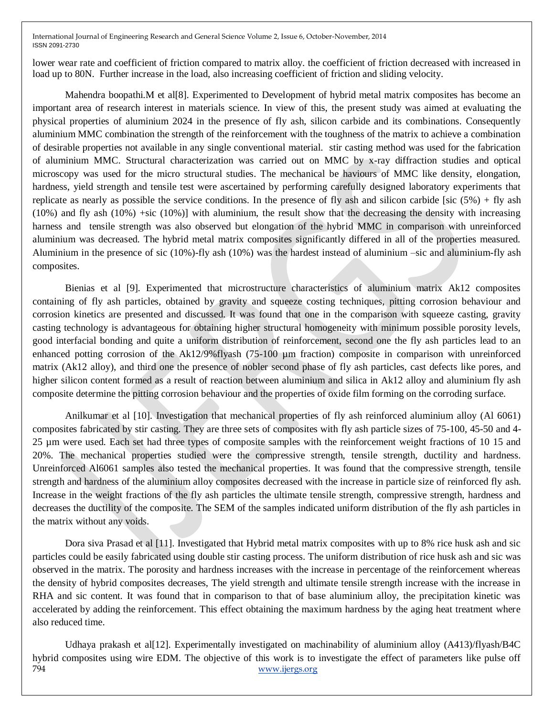lower wear rate and coefficient of friction compared to matrix alloy. the coefficient of friction decreased with increased in load up to 80N. Further increase in the load, also increasing coefficient of friction and sliding velocity.

Mahendra boopathi.M et al[8]. Experimented to Development of hybrid metal matrix composites has become an important area of research interest in materials science. In view of this, the present study was aimed at evaluating the physical properties of aluminium 2024 in the presence of fly ash, silicon carbide and its combinations. Consequently aluminium MMC combination the strength of the reinforcement with the toughness of the matrix to achieve a combination of desirable properties not available in any single conventional material. stir casting method was used for the fabrication of aluminium MMC. Structural characterization was carried out on MMC by x-ray diffraction studies and optical microscopy was used for the micro structural studies. The mechanical be haviours of MMC like density, elongation, hardness, yield strength and tensile test were ascertained by performing carefully designed laboratory experiments that replicate as nearly as possible the service conditions. In the presence of fly ash and silicon carbide [sic  $(5\%)$  + fly ash  $(10\%)$  and fly ash  $(10\%)$  +sic  $(10\%)$ ] with aluminium, the result show that the decreasing the density with increasing harness and tensile strength was also observed but elongation of the hybrid MMC in comparison with unreinforced aluminium was decreased. The hybrid metal matrix composites significantly differed in all of the properties measured. Aluminium in the presence of sic (10%)-fly ash (10%) was the hardest instead of aluminium –sic and aluminium-fly ash composites.

Bienias et al [9]. Experimented that microstructure characteristics of aluminium matrix Ak12 composites containing of fly ash particles, obtained by gravity and squeeze costing techniques, pitting corrosion behaviour and corrosion kinetics are presented and discussed. It was found that one in the comparison with squeeze casting, gravity casting technology is advantageous for obtaining higher structural homogeneity with minimum possible porosity levels, good interfacial bonding and quite a uniform distribution of reinforcement, second one the fly ash particles lead to an enhanced potting corrosion of the Ak12/9%flyash (75-100 µm fraction) composite in comparison with unreinforced matrix (Ak12 alloy), and third one the presence of nobler second phase of fly ash particles, cast defects like pores, and higher silicon content formed as a result of reaction between aluminium and silica in Ak12 alloy and aluminium fly ash composite determine the pitting corrosion behaviour and the properties of oxide film forming on the corroding surface.

Anilkumar et al [10]. Investigation that mechanical properties of fly ash reinforced aluminium alloy (Al 6061) composites fabricated by stir casting. They are three sets of composites with fly ash particle sizes of 75-100, 45-50 and 4- 25 µm were used. Each set had three types of composite samples with the reinforcement weight fractions of 10 15 and 20%. The mechanical properties studied were the compressive strength, tensile strength, ductility and hardness. Unreinforced Al6061 samples also tested the mechanical properties. It was found that the compressive strength, tensile strength and hardness of the aluminium alloy composites decreased with the increase in particle size of reinforced fly ash. Increase in the weight fractions of the fly ash particles the ultimate tensile strength, compressive strength, hardness and decreases the ductility of the composite. The SEM of the samples indicated uniform distribution of the fly ash particles in the matrix without any voids.

Dora siva Prasad et al [11]. Investigated that Hybrid metal matrix composites with up to 8% rice husk ash and sic particles could be easily fabricated using double stir casting process. The uniform distribution of rice husk ash and sic was observed in the matrix. The porosity and hardness increases with the increase in percentage of the reinforcement whereas the density of hybrid composites decreases, The yield strength and ultimate tensile strength increase with the increase in RHA and sic content. It was found that in comparison to that of base aluminium alloy, the precipitation kinetic was accelerated by adding the reinforcement. This effect obtaining the maximum hardness by the aging heat treatment where also reduced time.

794 www.ijergs.org Udhaya prakash et al[12]. Experimentally investigated on machinability of aluminium alloy (A413)/flyash/B4C hybrid composites using wire EDM. The objective of this work is to investigate the effect of parameters like pulse off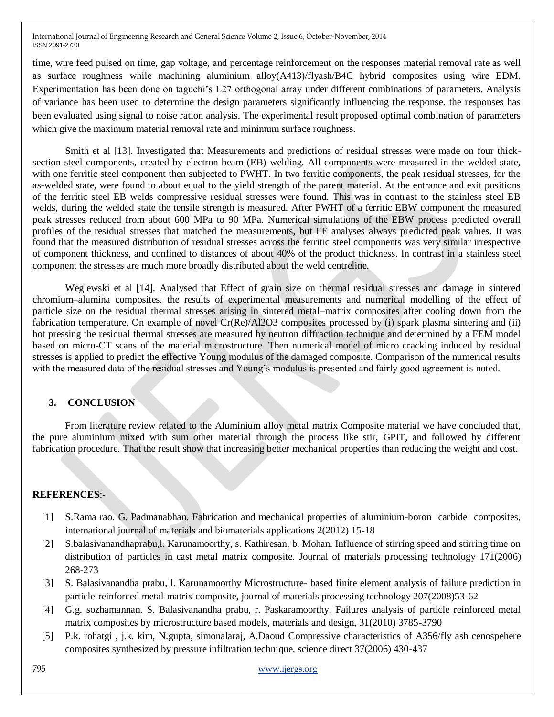time, wire feed pulsed on time, gap voltage, and percentage reinforcement on the responses material removal rate as well as surface roughness while machining aluminium alloy(A413)/flyash/B4C hybrid composites using wire EDM. Experimentation has been done on taguchi's L27 orthogonal array under different combinations of parameters. Analysis of variance has been used to determine the design parameters significantly influencing the response. the responses has been evaluated using signal to noise ration analysis. The experimental result proposed optimal combination of parameters which give the maximum material removal rate and minimum surface roughness.

Smith et al [13]. Investigated that Measurements and predictions of residual stresses were made on four thicksection steel components, created by electron beam (EB) welding. All components were measured in the welded state, with one ferritic steel component then subjected to PWHT. In two ferritic components, the peak residual stresses, for the as-welded state, were found to about equal to the yield strength of the parent material. At the entrance and exit positions of the ferritic steel EB welds compressive residual stresses were found. This was in contrast to the stainless steel EB welds, during the welded state the tensile strength is measured. After PWHT of a ferritic EBW component the measured peak stresses reduced from about 600 MPa to 90 MPa. Numerical simulations of the EBW process predicted overall profiles of the residual stresses that matched the measurements, but FE analyses always predicted peak values. It was found that the measured distribution of residual stresses across the ferritic steel components was very similar irrespective of component thickness, and confined to distances of about 40% of the product thickness. In contrast in a stainless steel component the stresses are much more broadly distributed about the weld centreline.

Weglewski et al [14]. Analysed that Effect of grain size on thermal residual stresses and damage in sintered chromium–alumina composites. the results of experimental measurements and numerical modelling of the effect of particle size on the residual thermal stresses arising in sintered metal–matrix composites after cooling down from the fabrication temperature. On example of novel Cr(Re)/Al2O3 composites processed by (i) spark plasma sintering and (ii) hot pressing the residual thermal stresses are measured by neutron diffraction technique and determined by a FEM model based on micro-CT scans of the material microstructure. Then numerical model of micro cracking induced by residual stresses is applied to predict the effective Young modulus of the damaged composite. Comparison of the numerical results with the measured data of the residual stresses and Young's modulus is presented and fairly good agreement is noted.

## **3. CONCLUSION**

From literature review related to the Aluminium alloy metal matrix Composite material we have concluded that, the pure aluminium mixed with sum other material through the process like stir, GPIT, and followed by different fabrication procedure. That the result show that increasing better mechanical properties than reducing the weight and cost.

#### **REFERENCES**:-

- [1] S.Rama rao. G. Padmanabhan, Fabrication and mechanical properties of aluminium-boron carbide composites, international journal of materials and biomaterials applications 2(2012) 15-18
- [2] S.balasivanandhaprabu,l. Karunamoorthy, s. Kathiresan, b. Mohan, Influence of stirring speed and stirring time on distribution of particles in cast metal matrix composite. Journal of materials processing technology 171(2006) 268-273
- [3] S. Balasivanandha prabu, l. Karunamoorthy Microstructure- based finite element analysis of failure prediction in particle-reinforced metal-matrix composite, journal of materials processing technology 207(2008)53-62
- [4] G.g. sozhamannan. S. Balasivanandha prabu, r. Paskaramoorthy. Failures analysis of particle reinforced metal matrix composites by microstructure based models, materials and design, 31(2010) 3785-3790
- [5] P.k. rohatgi , j.k. kim, N.gupta, simonalaraj, A.Daoud Compressive characteristics of A356/fly ash cenospehere composites synthesized by pressure infiltration technique, science direct 37(2006) 430-437